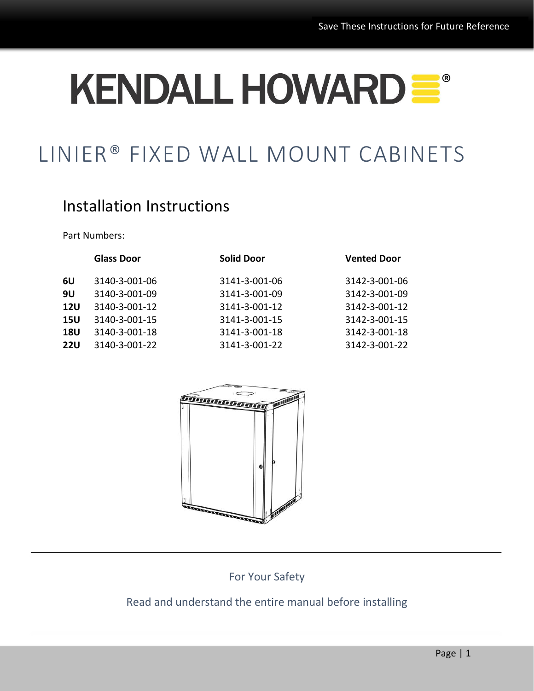# KENDALL HOWARD =

# LINIER® FIXED WALL MOUNT CABINETS

# Installation Instructions

Part Numbers:

|            | <b>Glass Door</b> | <b>Solid Door</b> | <b>Vented Door</b> |
|------------|-------------------|-------------------|--------------------|
| 6U         | 3140-3-001-06     | 3141-3-001-06     | 3142-3-001-06      |
| 9U         | 3140-3-001-09     | 3141-3-001-09     | 3142-3-001-09      |
| <b>12U</b> | 3140-3-001-12     | 3141-3-001-12     | 3142-3-001-12      |
| <b>15U</b> | 3140-3-001-15     | 3141-3-001-15     | 3142-3-001-15      |
| <b>18U</b> | 3140-3-001-18     | 3141-3-001-18     | 3142-3-001-18      |
| <b>22U</b> | 3140-3-001-22     | 3141-3-001-22     | 3142-3-001-22      |
|            |                   |                   |                    |



For Your Safety

#### Read and understand the entire manual before installing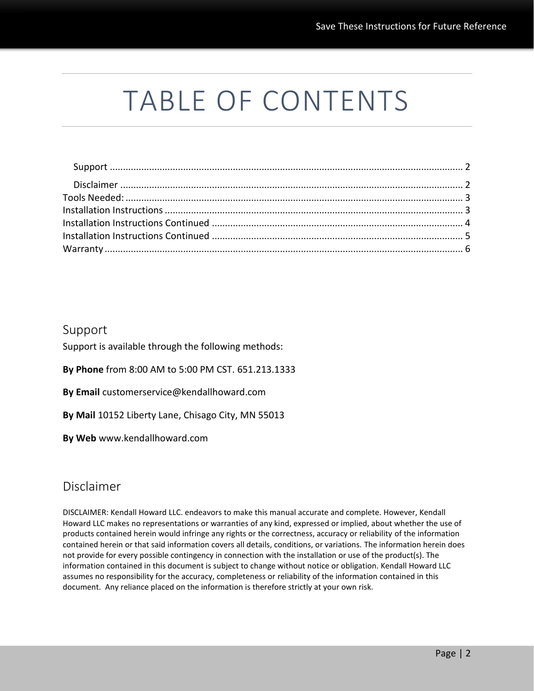# TABLE OF CONTENTS

#### <span id="page-1-0"></span>Support

Support is available through the following methods:

**By Phone** from 8:00 AM to 5:00 PM CST. 651.213.1333

**By Email** customerservice@kendallhoward.com

**By Mail** 10152 Liberty Lane, Chisago City, MN 55013

**By Web** www.kendallhoward.com

#### <span id="page-1-1"></span>Disclaimer

DISCLAIMER: Kendall Howard LLC. endeavors to make this manual accurate and complete. However, Kendall Howard LLC makes no representations or warranties of any kind, expressed or implied, about whether the use of products contained herein would infringe any rights or the correctness, accuracy or reliability of the information contained herein or that said information covers all details, conditions, or variations. The information herein does not provide for every possible contingency in connection with the installation or use of the product(s). The information contained in this document is subject to change without notice or obligation. Kendall Howard LLC assumes no responsibility for the accuracy, completeness or reliability of the information contained in this document. Any reliance placed on the information is therefore strictly at your own risk.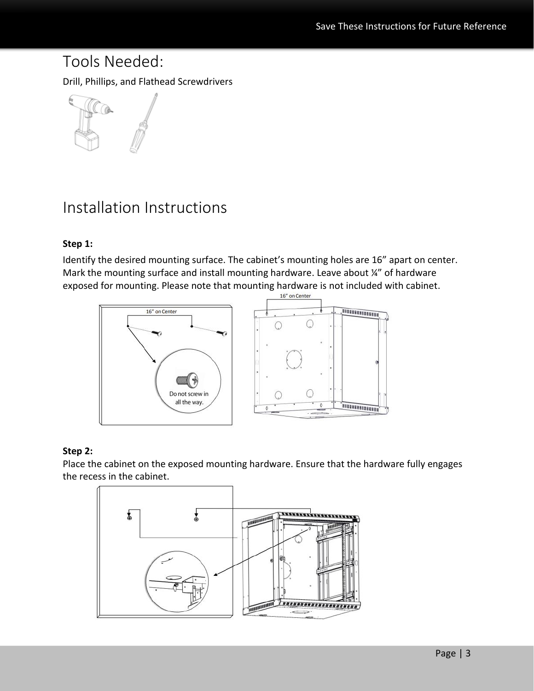# <span id="page-2-0"></span>Tools Needed:

Drill, Phillips, and Flathead Screwdrivers



# <span id="page-2-1"></span>Installation Instructions

#### **Step 1:**

Identify the desired mounting surface. The cabinet's mounting holes are 16" apart on center. Mark the mounting surface and install mounting hardware. Leave about ¼" of hardware exposed for mounting. Please note that mounting hardware is not included with cabinet.<br>15" on Center



#### **Step 2:**

Place the cabinet on the exposed mounting hardware. Ensure that the hardware fully engages the recess in the cabinet.

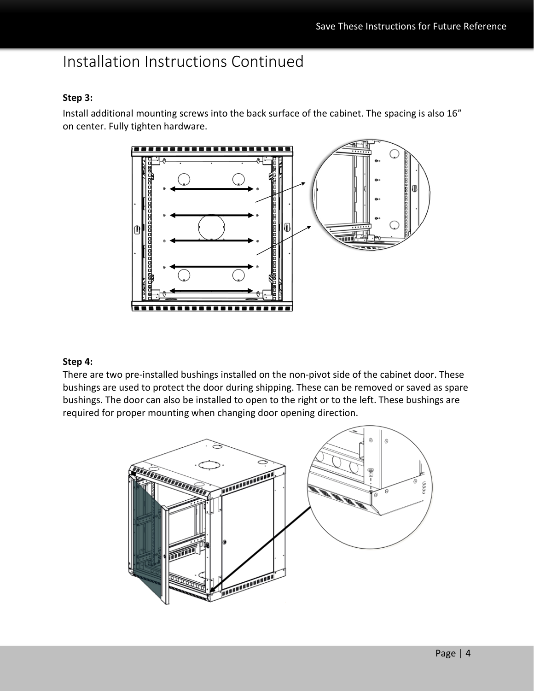## <span id="page-3-0"></span>Installation Instructions Continued

#### **Step 3:**

Install additional mounting screws into the back surface of the cabinet. The spacing is also 16" on center. Fully tighten hardware.



#### **Step 4:**

There are two pre-installed bushings installed on the non-pivot side of the cabinet door. These bushings are used to protect the door during shipping. These can be removed or saved as spare bushings. The door can also be installed to open to the right or to the left. These bushings are required for proper mounting when changing door opening direction.

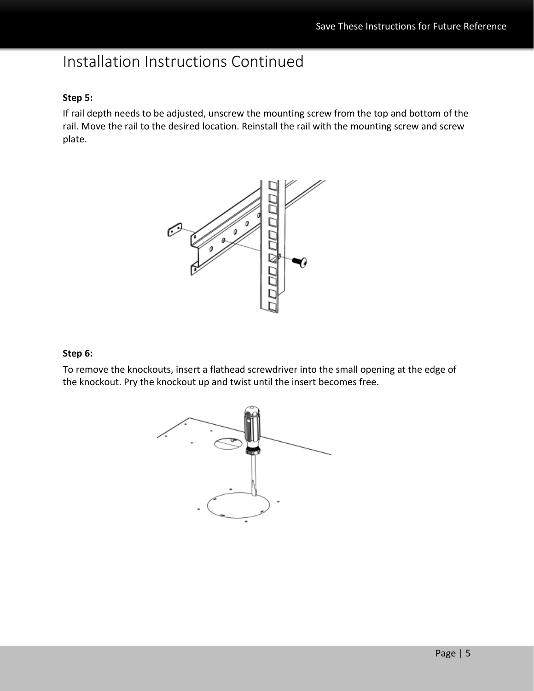# <span id="page-4-0"></span>Installation Instructions Continued

#### **Step 5:**

If rail depth needs to be adjusted, unscrew the mounting screw from the top and bottom of the rail. Move the rail to the desired location. Reinstall the rail with the mounting screw and screw plate.



#### **Step 6:**

To remove the knockouts, insert a flathead screwdriver into the small opening at the edge of the knockout. Pry the knockout up and twist until the insert becomes free.